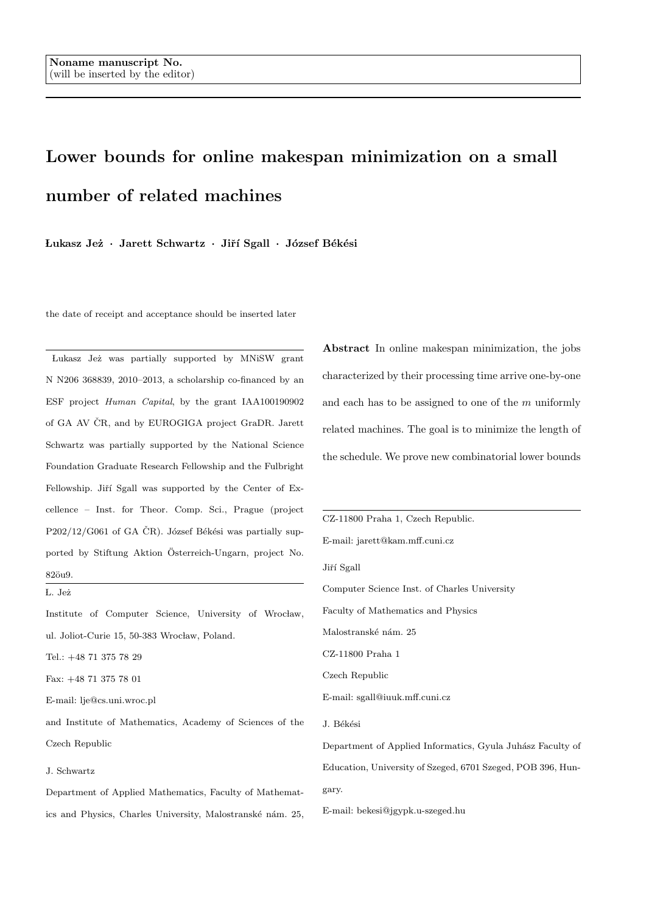# Lower bounds for online makespan minimization on a small number of related machines

Lukasz Jeż · Jarett Schwartz · Jiří Sgall · József Békési

the date of receipt and acceptance should be inserted later

Lukasz Jeż was partially supported by MNiSW grant N N206 368839, 2010–2013, a scholarship co-financed by an ESF project Human Capital, by the grant IAA100190902 of GA AV ČR, and by EUROGIGA project GraDR. Jarett Schwartz was partially supported by the National Science Foundation Graduate Research Fellowship and the Fulbright Fellowship. Jiří Sgall was supported by the Center of Excellence – Inst. for Theor. Comp. Sci., Prague (project  $P202/12/G061$  of GA ČR). József Békési was partially supported by Stiftung Aktion Österreich-Ungarn, project No. 82öu9.

L. Jeż

Institute of Computer Science, University of Wrocław, ul. Joliot-Curie 15, 50-383 Wrocław, Poland.

Tel.: +48 71 375 78 29

Fax: +48 71 375 78 01

E-mail: lje@cs.uni.wroc.pl

and Institute of Mathematics, Academy of Sciences of the Czech Republic

#### J. Schwartz

Department of Applied Mathematics, Faculty of Mathematics and Physics, Charles University, Malostranské nám. 25,

Abstract In online makespan minimization, the jobs characterized by their processing time arrive one-by-one and each has to be assigned to one of the  $m$  uniformly related machines. The goal is to minimize the length of the schedule. We prove new combinatorial lower bounds

CZ-11800 Praha 1, Czech Republic. E-mail: jarett@kam.mff.cuni.cz Jiří Sgall Computer Science Inst. of Charles University Faculty of Mathematics and Physics Malostranské nám. 25 CZ-11800 Praha 1 Czech Republic E-mail: sgall@iuuk.mff.cuni.cz J. Békési Department of Applied Informatics, Gyula Juhász Faculty of Education, University of Szeged, 6701 Szeged, POB 396, Hungary. E-mail: bekesi@jgypk.u-szeged.hu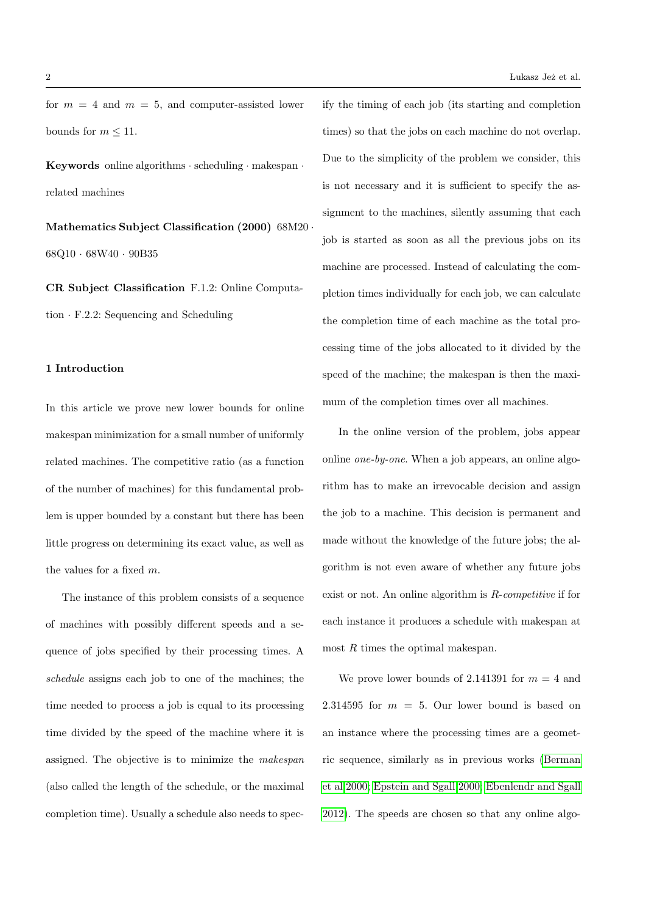for  $m = 4$  and  $m = 5$ , and computer-assisted lower bounds for  $m \leq 11$ .

Keywords online algorithms  $\cdot$  scheduling  $\cdot$  makespan  $\cdot$ related machines

Mathematics Subject Classification (2000) 68M20 · 68Q10 · 68W40 · 90B35

CR Subject Classification F.1.2: Online Computation · F.2.2: Sequencing and Scheduling

## 1 Introduction

In this article we prove new lower bounds for online makespan minimization for a small number of uniformly related machines. The competitive ratio (as a function of the number of machines) for this fundamental problem is upper bounded by a constant but there has been little progress on determining its exact value, as well as the values for a fixed m.

The instance of this problem consists of a sequence of machines with possibly different speeds and a sequence of jobs specified by their processing times. A schedule assigns each job to one of the machines; the time needed to process a job is equal to its processing time divided by the speed of the machine where it is assigned. The objective is to minimize the makespan (also called the length of the schedule, or the maximal completion time). Usually a schedule also needs to spec-

ify the timing of each job (its starting and completion times) so that the jobs on each machine do not overlap. Due to the simplicity of the problem we consider, this is not necessary and it is sufficient to specify the assignment to the machines, silently assuming that each job is started as soon as all the previous jobs on its machine are processed. Instead of calculating the completion times individually for each job, we can calculate the completion time of each machine as the total processing time of the jobs allocated to it divided by the speed of the machine; the makespan is then the maximum of the completion times over all machines.

In the online version of the problem, jobs appear online one-by-one. When a job appears, an online algorithm has to make an irrevocable decision and assign the job to a machine. This decision is permanent and made without the knowledge of the future jobs; the algorithm is not even aware of whether any future jobs exist or not. An online algorithm is R-competitive if for each instance it produces a schedule with makespan at most R times the optimal makespan.

We prove lower bounds of 2.141391 for  $m = 4$  and 2.314595 for  $m = 5$ . Our lower bound is based on an instance where the processing times are a geometric sequence, similarly as in previous works [\(Berman](#page-15-0) [et al 2000;](#page-15-0) [Epstein and Sgall 2000;](#page-15-1) [Ebenlendr and Sgall](#page-15-2) [2012\)](#page-15-2). The speeds are chosen so that any online algo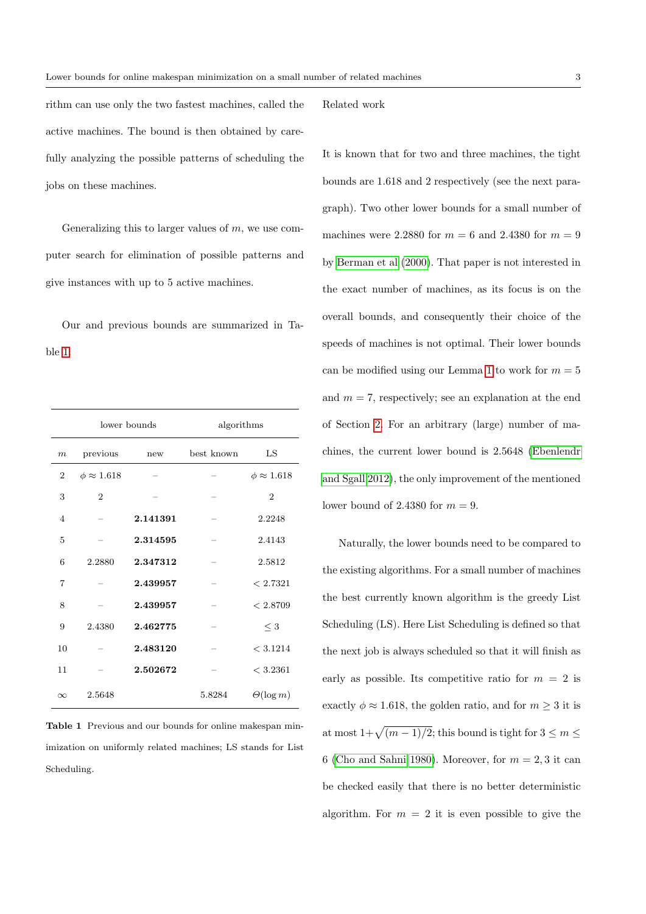rithm can use only the two fastest machines, called the active machines. The bound is then obtained by carefully analyzing the possible patterns of scheduling the jobs on these machines.

Generalizing this to larger values of  $m$ , we use computer search for elimination of possible patterns and give instances with up to 5 active machines.

Our and previous bounds are summarized in Table [1.](#page-2-0)

|                |                      | lower bounds | algorithms |                      |  |
|----------------|----------------------|--------------|------------|----------------------|--|
| $_{m}$         | previous             | new          | best known | LS                   |  |
| $\overline{2}$ | $\phi \approx 1.618$ |              |            | $\phi \approx 1.618$ |  |
| 3              | $\overline{2}$       |              |            | $\overline{2}$       |  |
| $\overline{4}$ |                      | 2.141391     |            | 2.2248               |  |
| 5              |                      | 2.314595     |            | 2.4143               |  |
| 6              | 2.2880               | 2.347312     |            | 2.5812               |  |
| 7              |                      | 2.439957     |            | < 2.7321             |  |
| 8              |                      | 2.439957     |            | < 2.8709             |  |
| 9              | 2.4380               | 2.462775     |            | $\leq 3$             |  |
| 10             |                      | 2.483120     |            | < 3.1214             |  |
| 11             |                      | 2.502672     |            | < 3.2361             |  |
| $\infty$       | 2.5648               |              | 5.8284     | $\Theta(\log m)$     |  |

<span id="page-2-0"></span>Table 1 Previous and our bounds for online makespan minimization on uniformly related machines; LS stands for List Scheduling.

Related work

It is known that for two and three machines, the tight bounds are 1.618 and 2 respectively (see the next paragraph). Two other lower bounds for a small number of machines were 2.2880 for  $m = 6$  and 2.4380 for  $m = 9$ by [Berman et al](#page-15-0) [\(2000\)](#page-15-0). That paper is not interested in the exact number of machines, as its focus is on the overall bounds, and consequently their choice of the speeds of machines is not optimal. Their lower bounds can be modified using our Lemma [1](#page-5-0) to work for  $m = 5$ and  $m = 7$ , respectively; see an explanation at the end of Section [2.](#page-4-0) For an arbitrary (large) number of machines, the current lower bound is 2.5648 [\(Ebenlendr](#page-15-2) [and Sgall 2012\)](#page-15-2), the only improvement of the mentioned lower bound of 2.4380 for  $m = 9$ .

Naturally, the lower bounds need to be compared to the existing algorithms. For a small number of machines the best currently known algorithm is the greedy List Scheduling (LS). Here List Scheduling is defined so that the next job is always scheduled so that it will finish as early as possible. Its competitive ratio for  $m = 2$  is exactly  $\phi \approx 1.618$ , the golden ratio, and for  $m \geq 3$  it is at most  $1+\sqrt{(m-1)/2}$ ; this bound is tight for  $3 \le m \le$ 6 [\(Cho and Sahni 1980\)](#page-15-3). Moreover, for  $m = 2, 3$  it can be checked easily that there is no better deterministic algorithm. For  $m = 2$  it is even possible to give the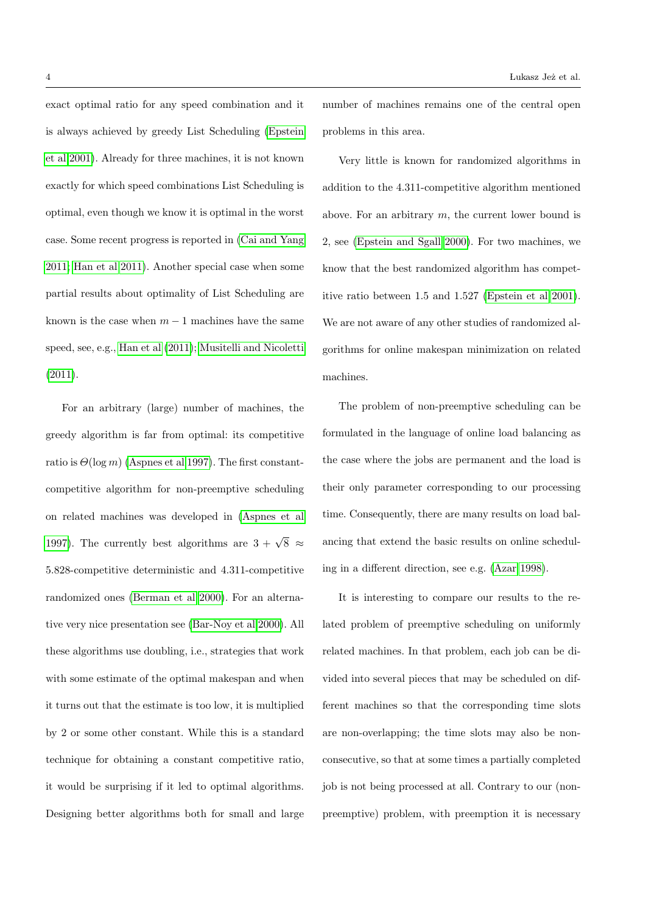exact optimal ratio for any speed combination and it is always achieved by greedy List Scheduling [\(Epstein](#page-15-4) [et al 2001\)](#page-15-4). Already for three machines, it is not known exactly for which speed combinations List Scheduling is optimal, even though we know it is optimal in the worst case. Some recent progress is reported in [\(Cai and Yang](#page-15-5) [2011;](#page-15-5) [Han et al 2011\)](#page-15-6). Another special case when some partial results about optimality of List Scheduling are known is the case when  $m-1$  machines have the same speed, see, e.g., [Han et al](#page-15-6) [\(2011\)](#page-15-6); [Musitelli and Nicoletti](#page-15-7) [\(2011\)](#page-15-7).

For an arbitrary (large) number of machines, the greedy algorithm is far from optimal: its competitive ratio is  $\Theta(\log m)$  [\(Aspnes et al 1997\)](#page-14-0). The first constantcompetitive algorithm for non-preemptive scheduling on related machines was developed in [\(Aspnes et al](#page-14-0) [1997\)](#page-14-0). The currently best algorithms are  $3 + \sqrt{8} \approx$ 5.828-competitive deterministic and 4.311-competitive randomized ones [\(Berman et al 2000\)](#page-15-0). For an alternative very nice presentation see [\(Bar-Noy et al 2000\)](#page-15-8). All these algorithms use doubling, i.e., strategies that work with some estimate of the optimal makespan and when it turns out that the estimate is too low, it is multiplied by 2 or some other constant. While this is a standard technique for obtaining a constant competitive ratio, it would be surprising if it led to optimal algorithms. Designing better algorithms both for small and large number of machines remains one of the central open problems in this area.

Very little is known for randomized algorithms in addition to the 4.311-competitive algorithm mentioned above. For an arbitrary  $m$ , the current lower bound is 2, see [\(Epstein and Sgall 2000\)](#page-15-1). For two machines, we know that the best randomized algorithm has competitive ratio between 1.5 and 1.527 [\(Epstein et al 2001\)](#page-15-4). We are not aware of any other studies of randomized algorithms for online makespan minimization on related machines.

The problem of non-preemptive scheduling can be formulated in the language of online load balancing as the case where the jobs are permanent and the load is their only parameter corresponding to our processing time. Consequently, there are many results on load balancing that extend the basic results on online scheduling in a different direction, see e.g. [\(Azar 1998\)](#page-14-1).

It is interesting to compare our results to the related problem of preemptive scheduling on uniformly related machines. In that problem, each job can be divided into several pieces that may be scheduled on different machines so that the corresponding time slots are non-overlapping; the time slots may also be nonconsecutive, so that at some times a partially completed job is not being processed at all. Contrary to our (nonpreemptive) problem, with preemption it is necessary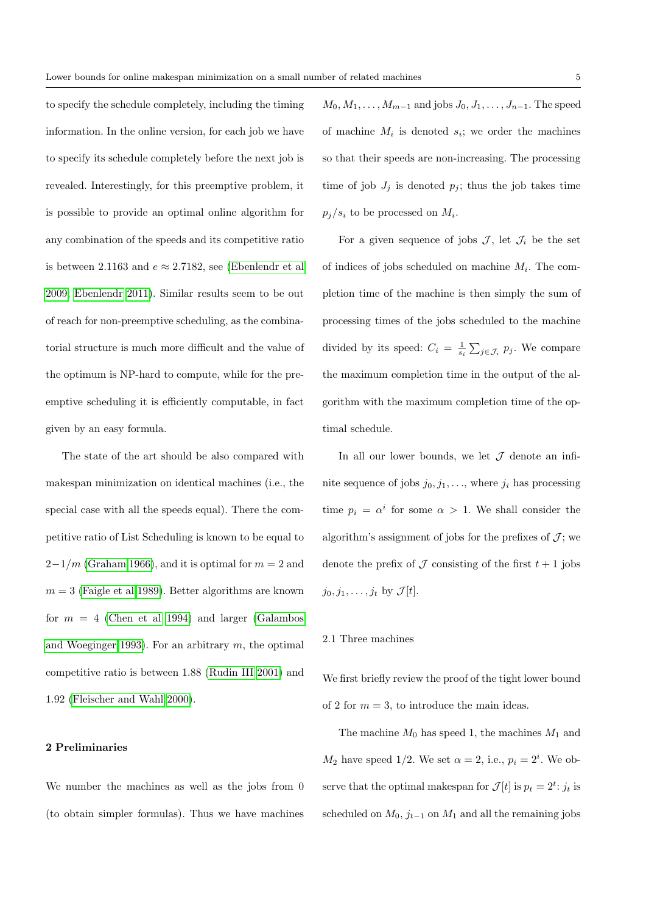to specify the schedule completely, including the timing information. In the online version, for each job we have to specify its schedule completely before the next job is revealed. Interestingly, for this preemptive problem, it is possible to provide an optimal online algorithm for any combination of the speeds and its competitive ratio is between 2.1163 and  $e \approx 2.7182$ , see [\(Ebenlendr et al](#page-15-9) [2009;](#page-15-9) [Ebenlendr 2011\)](#page-15-10). Similar results seem to be out of reach for non-preemptive scheduling, as the combinatorial structure is much more difficult and the value of the optimum is NP-hard to compute, while for the preemptive scheduling it is efficiently computable, in fact given by an easy formula.

The state of the art should be also compared with makespan minimization on identical machines (i.e., the special case with all the speeds equal). There the competitive ratio of List Scheduling is known to be equal to  $2-1/m$  [\(Graham 1966\)](#page-15-11), and it is optimal for  $m = 2$  and  $m = 3$  [\(Faigle et al 1989\)](#page-15-12). Better algorithms are known for  $m = 4$  [\(Chen et al 1994\)](#page-15-13) and larger [\(Galambos](#page-15-14) [and Woeginger 1993\)](#page-15-14). For an arbitrary  $m$ , the optimal competitive ratio is between 1.88 [\(Rudin III 2001\)](#page-15-15) and 1.92 [\(Fleischer and Wahl 2000\)](#page-15-16).

## <span id="page-4-0"></span>2 Preliminaries

We number the machines as well as the jobs from 0 (to obtain simpler formulas). Thus we have machines  $M_0, M_1, \ldots, M_{m-1}$  and jobs  $J_0, J_1, \ldots, J_{n-1}$ . The speed of machine  $M_i$  is denoted  $s_i$ ; we order the machines so that their speeds are non-increasing. The processing time of job  $J_j$  is denoted  $p_j$ ; thus the job takes time  $p_j/s_i$  to be processed on  $M_i$ .

For a given sequence of jobs  $\mathcal{J}$ , let  $\mathcal{J}_i$  be the set of indices of jobs scheduled on machine  $M_i$ . The completion time of the machine is then simply the sum of processing times of the jobs scheduled to the machine divided by its speed:  $C_i = \frac{1}{s_i} \sum_{j \in \mathcal{J}_i} p_j$ . We compare the maximum completion time in the output of the algorithm with the maximum completion time of the optimal schedule.

In all our lower bounds, we let  $\mathcal J$  denote an infinite sequence of jobs  $j_0, j_1, \ldots$ , where  $j_i$  has processing time  $p_i = \alpha^i$  for some  $\alpha > 1$ . We shall consider the algorithm's assignment of jobs for the prefixes of  $J$ ; we denote the prefix of  $\mathcal J$  consisting of the first  $t+1$  jobs  $j_0, j_1, \ldots, j_t$  by  $\mathcal{J}[t]$ .

## 2.1 Three machines

We first briefly review the proof of the tight lower bound of 2 for  $m = 3$ , to introduce the main ideas.

The machine  $M_0$  has speed 1, the machines  $M_1$  and  $M_2$  have speed 1/2. We set  $\alpha = 2$ , i.e.,  $p_i = 2^i$ . We observe that the optimal makespan for  $\mathcal{J}[t]$  is  $p_t = 2^t : j_t$  is scheduled on  $M_0$ ,  $j_{t-1}$  on  $M_1$  and all the remaining jobs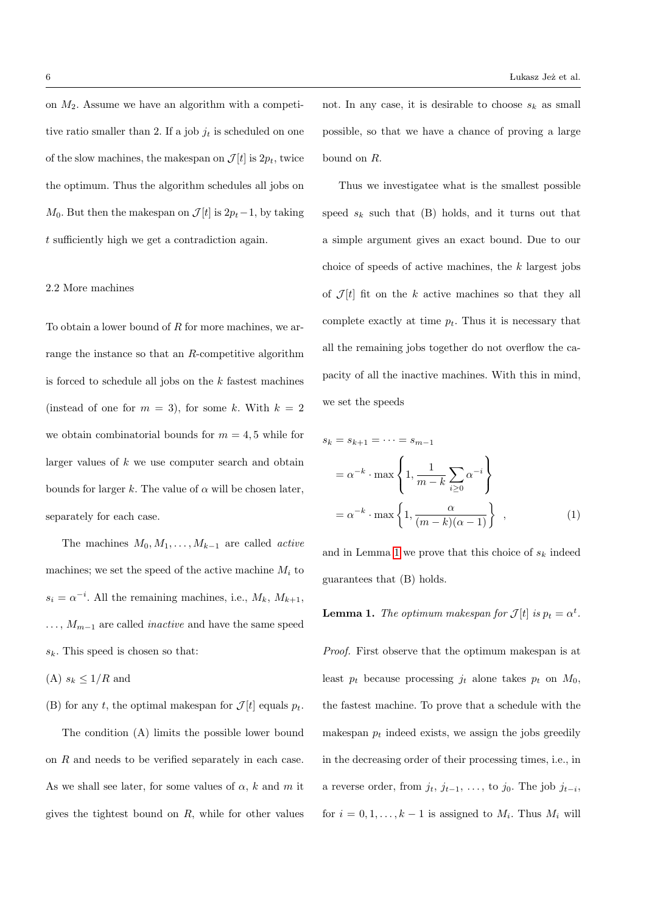on  $M_2$ . Assume we have an algorithm with a competitive ratio smaller than 2. If a job  $j_t$  is scheduled on one of the slow machines, the makespan on  $\mathcal{J}[t]$  is  $2p_t$ , twice the optimum. Thus the algorithm schedules all jobs on  $M_0$ . But then the makespan on  $\mathcal{J}[t]$  is  $2p_t-1$ , by taking t sufficiently high we get a contradiction again.

#### 2.2 More machines

To obtain a lower bound of  $R$  for more machines, we arrange the instance so that an R-competitive algorithm is forced to schedule all jobs on the  $k$  fastest machines (instead of one for  $m = 3$ ), for some k. With  $k = 2$ we obtain combinatorial bounds for  $m = 4, 5$  while for larger values of k we use computer search and obtain bounds for larger k. The value of  $\alpha$  will be chosen later, separately for each case.

The machines  $M_0, M_1, \ldots, M_{k-1}$  are called *active* machines; we set the speed of the active machine  $M_i$  to  $s_i = \alpha^{-i}$ . All the remaining machines, i.e.,  $M_k$ ,  $M_{k+1}$ ,  $\ldots$ ,  $M_{m-1}$  are called *inactive* and have the same speed  $s_k$ . This speed is chosen so that:

(A) 
$$
s_k \leq 1/R
$$
 and

(B) for any t, the optimal makespan for  $\mathcal{J}[t]$  equals  $p_t$ . The condition (A) limits the possible lower bound on R and needs to be verified separately in each case. As we shall see later, for some values of  $\alpha$ , k and m it gives the tightest bound on  $R$ , while for other values not. In any case, it is desirable to choose  $s_k$  as small possible, so that we have a chance of proving a large bound on R.

Thus we investigatee what is the smallest possible speed  $s_k$  such that (B) holds, and it turns out that a simple argument gives an exact bound. Due to our choice of speeds of active machines, the  $k$  largest jobs of  $\mathcal{J}[t]$  fit on the k active machines so that they all complete exactly at time  $p_t$ . Thus it is necessary that all the remaining jobs together do not overflow the capacity of all the inactive machines. With this in mind, we set the speeds

<span id="page-5-1"></span>
$$
s_k = s_{k+1} = \dots = s_{m-1}
$$

$$
= \alpha^{-k} \cdot \max \left\{ 1, \frac{1}{m-k} \sum_{i \ge 0} \alpha^{-i} \right\}
$$

$$
= \alpha^{-k} \cdot \max \left\{ 1, \frac{\alpha}{(m-k)(\alpha-1)} \right\} , \qquad (1)
$$

and in Lemma [1](#page-5-0) we prove that this choice of  $s_k$  indeed guarantees that (B) holds.

<span id="page-5-0"></span>**Lemma 1.** The optimum makespan for  $\mathcal{J}[t]$  is  $p_t = \alpha^t$ .

Proof. First observe that the optimum makespan is at least  $p_t$  because processing  $j_t$  alone takes  $p_t$  on  $M_0$ , the fastest machine. To prove that a schedule with the makespan  $p_t$  indeed exists, we assign the jobs greedily in the decreasing order of their processing times, i.e., in a reverse order, from  $j_t$ ,  $j_{t-1}$ , ..., to  $j_0$ . The job  $j_{t-i}$ , for  $i = 0, 1, \ldots, k - 1$  is assigned to  $M_i$ . Thus  $M_i$  will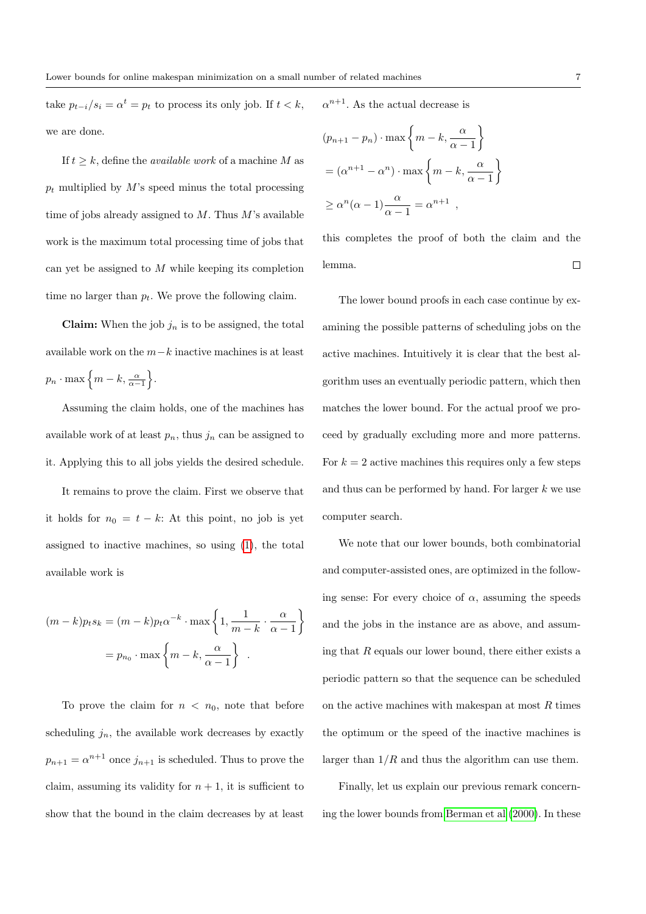take  $p_{t-i}/s_i = \alpha^t = p_t$  to process its only job. If  $t < k$ , we are done.

If  $t \geq k$ , define the *available work* of a machine M as  $p_t$  multiplied by M's speed minus the total processing time of jobs already assigned to  $M$ . Thus  $M$ 's available work is the maximum total processing time of jobs that can yet be assigned to  $M$  while keeping its completion time no larger than  $p_t$ . We prove the following claim.

**Claim:** When the job  $j_n$  is to be assigned, the total available work on the  $m-k$  inactive machines is at least  $p_n \cdot \max\left\{m - k, \frac{\alpha}{\alpha - 1}\right\}.$ 

Assuming the claim holds, one of the machines has available work of at least  $p_n$ , thus  $j_n$  can be assigned to it. Applying this to all jobs yields the desired schedule.

It remains to prove the claim. First we observe that it holds for  $n_0 = t - k$ : At this point, no job is yet assigned to inactive machines, so using [\(1\)](#page-5-1), the total available work is

$$
(m-k)p_ts_k = (m-k)p_t\alpha^{-k} \cdot \max\left\{1, \frac{1}{m-k} \cdot \frac{\alpha}{\alpha-1}\right\}
$$

$$
= p_{n_0} \cdot \max\left\{m-k, \frac{\alpha}{\alpha-1}\right\} .
$$

To prove the claim for  $n < n_0$ , note that before scheduling  $j_n$ , the available work decreases by exactly  $p_{n+1} = \alpha^{n+1}$  once  $j_{n+1}$  is scheduled. Thus to prove the claim, assuming its validity for  $n + 1$ , it is sufficient to show that the bound in the claim decreases by at least

$$
\alpha^{n+1}
$$
. As the actual decrease is

$$
(p_{n+1} - p_n) \cdot \max\left\{m - k, \frac{\alpha}{\alpha - 1}\right\}
$$

$$
= (\alpha^{n+1} - \alpha^n) \cdot \max\left\{m - k, \frac{\alpha}{\alpha - 1}\right\}
$$

$$
\geq \alpha^n(\alpha - 1)\frac{\alpha}{\alpha - 1} = \alpha^{n+1},
$$

this completes the proof of both the claim and the lemma.  $\Box$ 

The lower bound proofs in each case continue by examining the possible patterns of scheduling jobs on the active machines. Intuitively it is clear that the best algorithm uses an eventually periodic pattern, which then matches the lower bound. For the actual proof we proceed by gradually excluding more and more patterns. For  $k = 2$  active machines this requires only a few steps and thus can be performed by hand. For larger  $k$  we use computer search.

We note that our lower bounds, both combinatorial and computer-assisted ones, are optimized in the following sense: For every choice of  $\alpha$ , assuming the speeds and the jobs in the instance are as above, and assuming that  $R$  equals our lower bound, there either exists a periodic pattern so that the sequence can be scheduled on the active machines with makespan at most  $R$  times the optimum or the speed of the inactive machines is larger than  $1/R$  and thus the algorithm can use them.

Finally, let us explain our previous remark concerning the lower bounds from [Berman et al](#page-15-0) [\(2000\)](#page-15-0). In these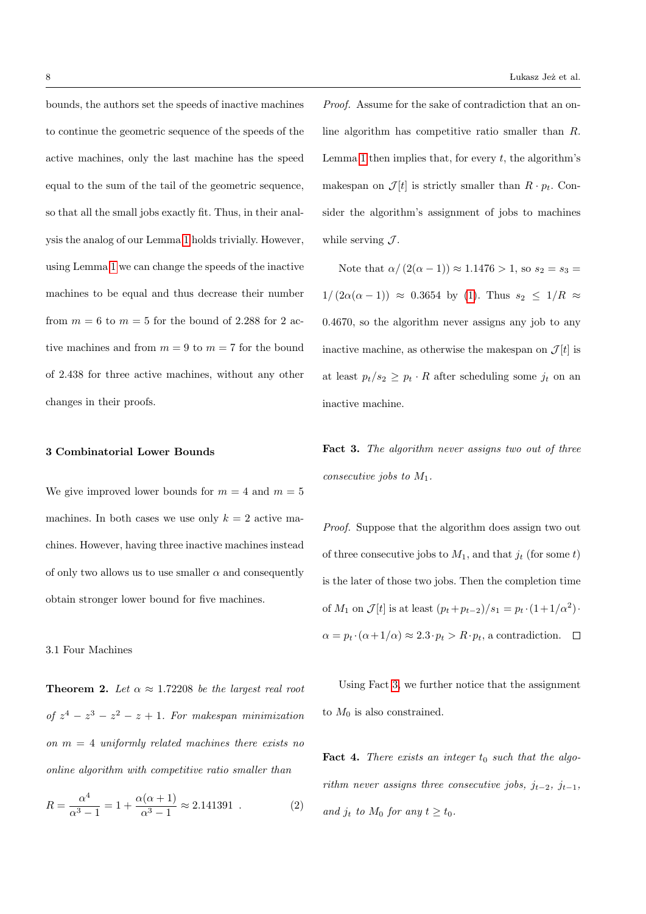bounds, the authors set the speeds of inactive machines to continue the geometric sequence of the speeds of the active machines, only the last machine has the speed equal to the sum of the tail of the geometric sequence, so that all the small jobs exactly fit. Thus, in their analysis the analog of our Lemma [1](#page-5-0) holds trivially. However, using Lemma [1](#page-5-0) we can change the speeds of the inactive machines to be equal and thus decrease their number from  $m = 6$  to  $m = 5$  for the bound of 2.288 for 2 active machines and from  $m = 9$  to  $m = 7$  for the bound of 2.438 for three active machines, without any other changes in their proofs.

#### 3 Combinatorial Lower Bounds

We give improved lower bounds for  $m = 4$  and  $m = 5$ machines. In both cases we use only  $k = 2$  active machines. However, having three inactive machines instead of only two allows us to use smaller  $\alpha$  and consequently obtain stronger lower bound for five machines.

## 3.1 Four Machines

**Theorem 2.** Let  $\alpha \approx 1.72208$  be the largest real root of  $z^4 - z^3 - z^2 - z + 1$ . For makespan minimization on  $m = 4$  uniformly related machines there exists no online algorithm with competitive ratio smaller than

$$
R = \frac{\alpha^4}{\alpha^3 - 1} = 1 + \frac{\alpha(\alpha + 1)}{\alpha^3 - 1} \approx 2.141391 . \tag{2}
$$

Proof. Assume for the sake of contradiction that an online algorithm has competitive ratio smaller than R. Lemma [1](#page-5-0) then implies that, for every  $t$ , the algorithm's makespan on  $\mathcal{J}[t]$  is strictly smaller than  $R \cdot p_t$ . Consider the algorithm's assignment of jobs to machines while serving  $\mathcal{J}$ .

Note that  $\alpha/(2(\alpha-1)) \approx 1.1476 > 1$ , so  $s_2 = s_3$  $1/(2\alpha(\alpha-1)) \approx 0.3654$  by [\(1\)](#page-5-1). Thus  $s_2 \leq 1/R \approx$ 0.4670, so the algorithm never assigns any job to any inactive machine, as otherwise the makespan on  $\mathcal{J}[t]$  is at least  $p_t/s_2 \geq p_t \cdot R$  after scheduling some  $j_t$  on an inactive machine.

<span id="page-7-0"></span>Fact 3. The algorithm never assigns two out of three consecutive jobs to  $M_1$ .

Proof. Suppose that the algorithm does assign two out of three consecutive jobs to  $M_1$ , and that  $j_t$  (for some t) is the later of those two jobs. Then the completion time of  $M_1$  on  $\mathcal{J}[t]$  is at least  $(p_t + p_{t-2})/s_1 = p_t \cdot (1 + 1/\alpha^2) \cdot$  $\alpha = p_t \cdot (\alpha + 1/\alpha) \approx 2.3 \cdot p_t > R \cdot p_t$ , a contradiction.  $\Box$ 

Using Fact [3,](#page-7-0) we further notice that the assignment to  $M_0$  is also constrained.

<span id="page-7-2"></span><span id="page-7-1"></span>**Fact 4.** There exists an integer  $t_0$  such that the algorithm never assigns three consecutive jobs,  $j_{t-2}, j_{t-1}$ , and  $j_t$  to  $M_0$  for any  $t \ge t_0$ .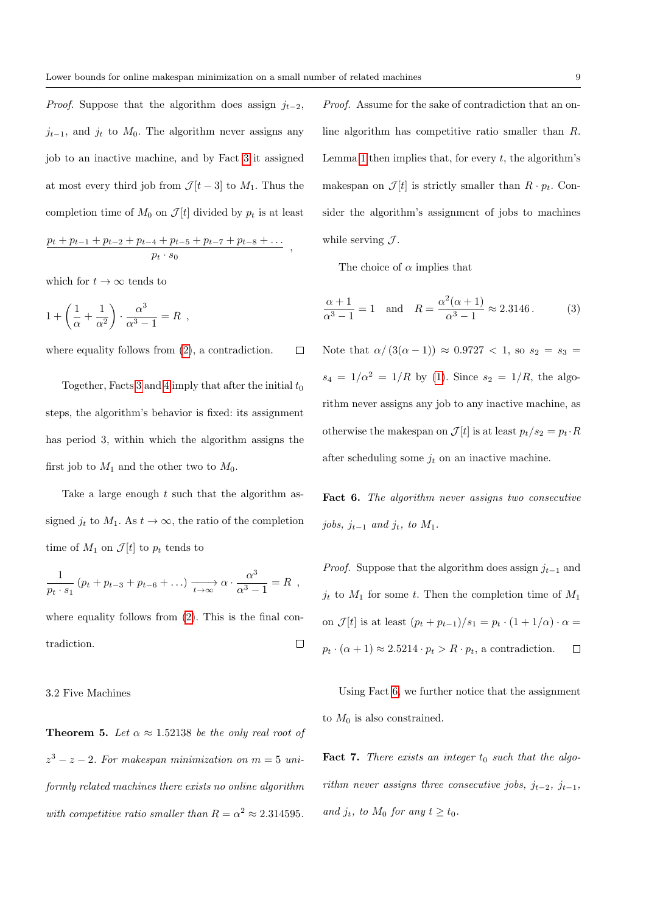*Proof.* Suppose that the algorithm does assign  $j_{t-2}$ ,  $j_{t-1}$ , and  $j_t$  to  $M_0$ . The algorithm never assigns any job to an inactive machine, and by Fact [3](#page-7-0) it assigned at most every third job from  $\mathcal{J}[t-3]$  to  $M_1$ . Thus the completion time of  $M_0$  on  $\mathcal{J}[t]$  divided by  $p_t$  is at least  $p_{t} + p_{t-1} + p_{t-2} + p_{t-4} + p_{t-5} + p_{t-7} + p_{t-8} +$ 

$$
\frac{pt + pt - 1 + pt - 2 + pt - 4 + pt - 5 + pt - 7 + pt - 8 + \cdots}{pt \cdot s_0},
$$

which for  $t \to \infty$  tends to

$$
1 + \left(\frac{1}{\alpha} + \frac{1}{\alpha^2}\right) \cdot \frac{\alpha^3}{\alpha^3 - 1} = R \ ,
$$

where equality follows from  $(2)$ , a contradiction.  $\Box$ 

Together, Facts [3](#page-7-0) and [4](#page-7-2) imply that after the initial  $t_0$ steps, the algorithm's behavior is fixed: its assignment has period 3, within which the algorithm assigns the first job to  $M_1$  and the other two to  $M_0$ .

Take a large enough t such that the algorithm assigned  $j_t$  to  $M_1$ . As  $t \to \infty$ , the ratio of the completion time of  $M_1$  on  $\mathcal{J}[t]$  to  $p_t$  tends to

$$
\frac{1}{p_t \cdot s_1} (p_t + p_{t-3} + p_{t-6} + \ldots) \xrightarrow[t \to \infty]{} \alpha \cdot \frac{\alpha^3}{\alpha^3 - 1} = R ,
$$

where equality follows from  $(2)$ . This is the final contradiction.  $\Box$ 

#### 3.2 Five Machines

**Theorem 5.** Let  $\alpha \approx 1.52138$  be the only real root of  $z^3 - z - 2$ . For makespan minimization on  $m = 5$  uniformly related machines there exists no online algorithm with competitive ratio smaller than  $R = \alpha^2 \approx 2.314595$ .

Proof. Assume for the sake of contradiction that an online algorithm has competitive ratio smaller than R. Lemma [1](#page-5-0) then implies that, for every  $t$ , the algorithm's makespan on  $\mathcal{J}[t]$  is strictly smaller than  $R \cdot p_t$ . Consider the algorithm's assignment of jobs to machines while serving  $\mathcal{J}$ .

<span id="page-8-2"></span>The choice of  $\alpha$  implies that

$$
\frac{\alpha+1}{\alpha^3 - 1} = 1
$$
 and  $R = \frac{\alpha^2(\alpha+1)}{\alpha^3 - 1} \approx 2.3146$ . (3)

Note that  $\alpha/(3(\alpha-1)) \approx 0.9727 < 1$ , so  $s_2 = s_3 =$  $s_4 = 1/\alpha^2 = 1/R$  by [\(1\)](#page-5-1). Since  $s_2 = 1/R$ , the algorithm never assigns any job to any inactive machine, as otherwise the makespan on  $\mathcal{J}[t]$  is at least  $p_t/s_2 = p_t \cdot R$ after scheduling some  $j_t$  on an inactive machine.

<span id="page-8-0"></span>Fact 6. The algorithm never assigns two consecutive jobs,  $j_{t-1}$  and  $j_t$ , to  $M_1$ .

*Proof.* Suppose that the algorithm does assign  $j_{t-1}$  and  $j_t$  to  $M_1$  for some t. Then the completion time of  $M_1$ on  $\mathcal{J}[t]$  is at least  $(p_t + p_{t-1})/s_1 = p_t \cdot (1 + 1/\alpha) \cdot \alpha =$  $p_t \cdot (\alpha + 1) \approx 2.5214 \cdot p_t > R \cdot p_t$ , a contradiction.  $\Box$ 

Using Fact [6,](#page-8-0) we further notice that the assignment to  $M_0$  is also constrained.

<span id="page-8-1"></span>**Fact 7.** There exists an integer  $t_0$  such that the algorithm never assigns three consecutive jobs,  $j_{t-2}$ ,  $j_{t-1}$ , and  $j_t$ , to  $M_0$  for any  $t \geq t_0$ .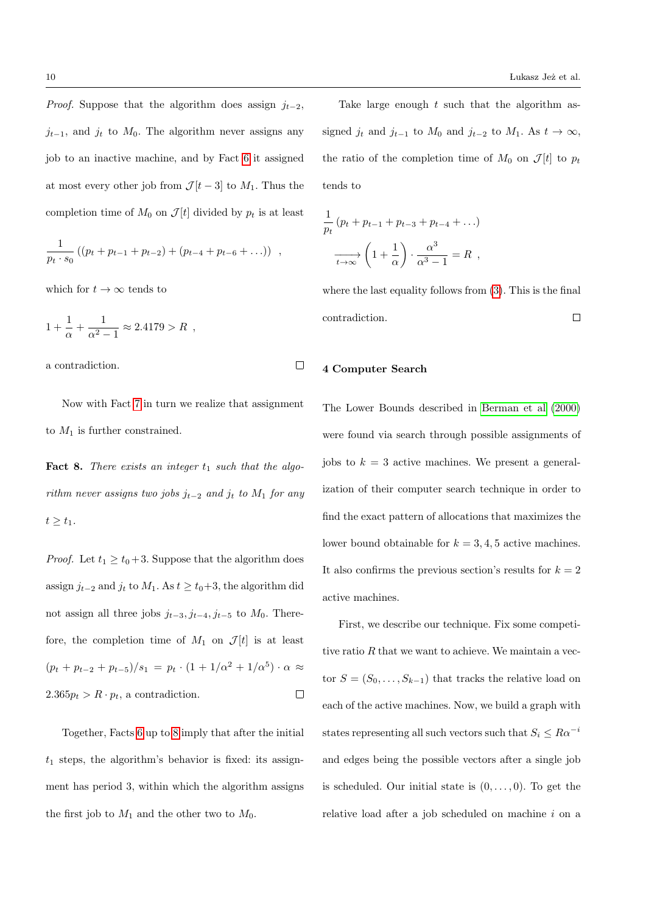*Proof.* Suppose that the algorithm does assign  $j_{t-2}$ ,  $j_{t-1}$ , and  $j_t$  to  $M_0$ . The algorithm never assigns any job to an inactive machine, and by Fact [6](#page-8-0) it assigned at most every other job from  $\mathcal{J}[t-3]$  to  $M_1$ . Thus the completion time of  $M_0$  on  $\mathcal{J}[t]$  divided by  $p_t$  is at least

$$
\frac{1}{p_t \cdot s_0} \left( (p_t + p_{t-1} + p_{t-2}) + (p_{t-4} + p_{t-6} + \ldots) \right) ,
$$

which for  $t \to \infty$  tends to

$$
1 + \frac{1}{\alpha} + \frac{1}{\alpha^2 - 1} \approx 2.4179 > R ,
$$

a contradiction.

Now with Fact [7](#page-8-1) in turn we realize that assignment to  $M_1$  is further constrained.

<span id="page-9-0"></span>**Fact 8.** There exists an integer  $t_1$  such that the algorithm never assigns two jobs  $j_{t-2}$  and  $j_t$  to  $M_1$  for any  $t \geq t_1$ .

*Proof.* Let  $t_1 \geq t_0 + 3$ . Suppose that the algorithm does assign  $j_{t-2}$  and  $j_t$  to  $M_1$ . As  $t \ge t_0+3$ , the algorithm did not assign all three jobs  $j_{t-3}, j_{t-4}, j_{t-5}$  to  $M_0$ . Therefore, the completion time of  $M_1$  on  $\mathcal{J}[t]$  is at least  $(p_t + p_{t-2} + p_{t-5})/s_1 = p_t \cdot (1 + 1/\alpha^2 + 1/\alpha^5) \cdot \alpha$  $2.365p_t > R \cdot p_t$ , a contradiction.  $\Box$ 

Together, Facts [6](#page-8-0) up to [8](#page-9-0) imply that after the initial  $t_1$  steps, the algorithm's behavior is fixed: its assignment has period 3, within which the algorithm assigns the first job to  $M_1$  and the other two to  $M_0$ .

Take large enough t such that the algorithm assigned  $j_t$  and  $j_{t-1}$  to  $M_0$  and  $j_{t-2}$  to  $M_1$ . As  $t \to \infty$ , the ratio of the completion time of  $M_0$  on  $\mathcal{J}[t]$  to  $p_t$ tends to

$$
\frac{1}{p_t} (p_t + p_{t-1} + p_{t-3} + p_{t-4} + \ldots)
$$

$$
\xrightarrow[t \to \infty]{} \left(1 + \frac{1}{\alpha}\right) \cdot \frac{\alpha^3}{\alpha^3 - 1} = R,
$$

where the last equality follows from [\(3\)](#page-8-2). This is the final contradiction.  $\Box$ 

## 4 Computer Search

 $\Box$ 

The Lower Bounds described in [Berman et al](#page-15-0) [\(2000\)](#page-15-0) were found via search through possible assignments of jobs to  $k = 3$  active machines. We present a generalization of their computer search technique in order to find the exact pattern of allocations that maximizes the lower bound obtainable for  $k = 3, 4, 5$  active machines. It also confirms the previous section's results for  $k = 2$ active machines.

First, we describe our technique. Fix some competitive ratio  $R$  that we want to achieve. We maintain a vector  $S = (S_0, \ldots, S_{k-1})$  that tracks the relative load on each of the active machines. Now, we build a graph with states representing all such vectors such that  $S_i \leq R\alpha^{-i}$ and edges being the possible vectors after a single job is scheduled. Our initial state is  $(0, \ldots, 0)$ . To get the relative load after a job scheduled on machine i on a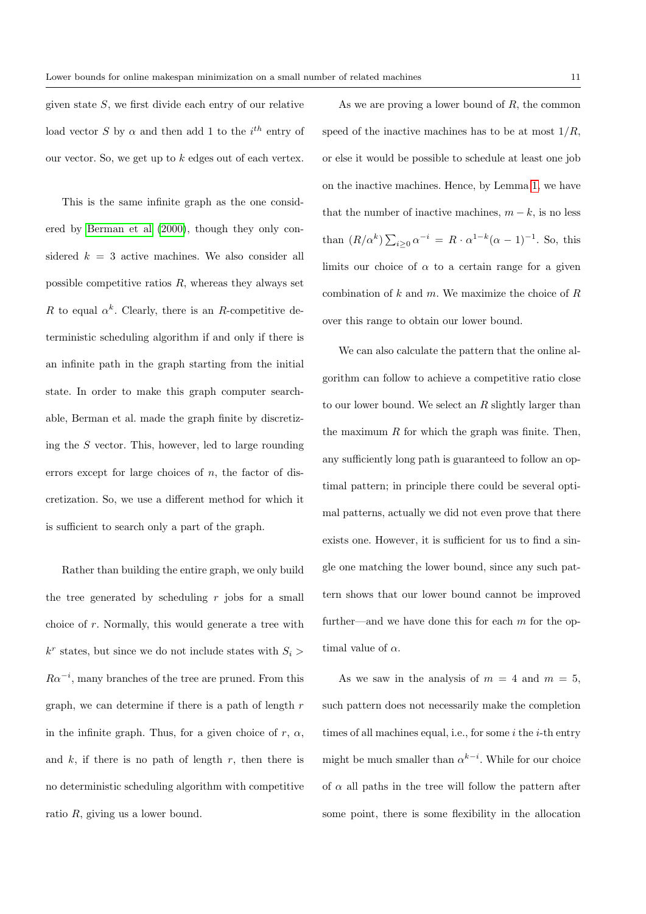given state  $S$ , we first divide each entry of our relative load vector S by  $\alpha$  and then add 1 to the  $i^{th}$  entry of our vector. So, we get up to  $k$  edges out of each vertex.

This is the same infinite graph as the one considered by [Berman et al](#page-15-0) [\(2000\)](#page-15-0), though they only considered  $k = 3$  active machines. We also consider all possible competitive ratios  $R$ , whereas they always set R to equal  $\alpha^k$ . Clearly, there is an R-competitive deterministic scheduling algorithm if and only if there is an infinite path in the graph starting from the initial state. In order to make this graph computer searchable, Berman et al. made the graph finite by discretizing the S vector. This, however, led to large rounding errors except for large choices of  $n$ , the factor of discretization. So, we use a different method for which it is sufficient to search only a part of the graph.

Rather than building the entire graph, we only build the tree generated by scheduling  $r$  jobs for a small choice of r. Normally, this would generate a tree with  $k^r$  states, but since we do not include states with  $S_i$  $R\alpha^{-i}$ , many branches of the tree are pruned. From this graph, we can determine if there is a path of length  $r$ in the infinite graph. Thus, for a given choice of  $r, \alpha$ , and  $k$ , if there is no path of length  $r$ , then there is no deterministic scheduling algorithm with competitive ratio R, giving us a lower bound.

As we are proving a lower bound of R, the common speed of the inactive machines has to be at most  $1/R$ , or else it would be possible to schedule at least one job on the inactive machines. Hence, by Lemma [1,](#page-5-0) we have that the number of inactive machines,  $m - k$ , is no less than  $(R/\alpha^k) \sum_{i \geq 0} \alpha^{-i} = R \cdot \alpha^{1-k} (\alpha - 1)^{-1}$ . So, this limits our choice of  $\alpha$  to a certain range for a given combination of  $k$  and  $m$ . We maximize the choice of  $R$ over this range to obtain our lower bound.

We can also calculate the pattern that the online algorithm can follow to achieve a competitive ratio close to our lower bound. We select an R slightly larger than the maximum  $R$  for which the graph was finite. Then, any sufficiently long path is guaranteed to follow an optimal pattern; in principle there could be several optimal patterns, actually we did not even prove that there exists one. However, it is sufficient for us to find a single one matching the lower bound, since any such pattern shows that our lower bound cannot be improved further—and we have done this for each  $m$  for the optimal value of  $\alpha$ .

As we saw in the analysis of  $m = 4$  and  $m = 5$ , such pattern does not necessarily make the completion times of all machines equal, i.e., for some  $i$  the  $i$ -th entry might be much smaller than  $\alpha^{k-i}$ . While for our choice of  $\alpha$  all paths in the tree will follow the pattern after some point, there is some flexibility in the allocation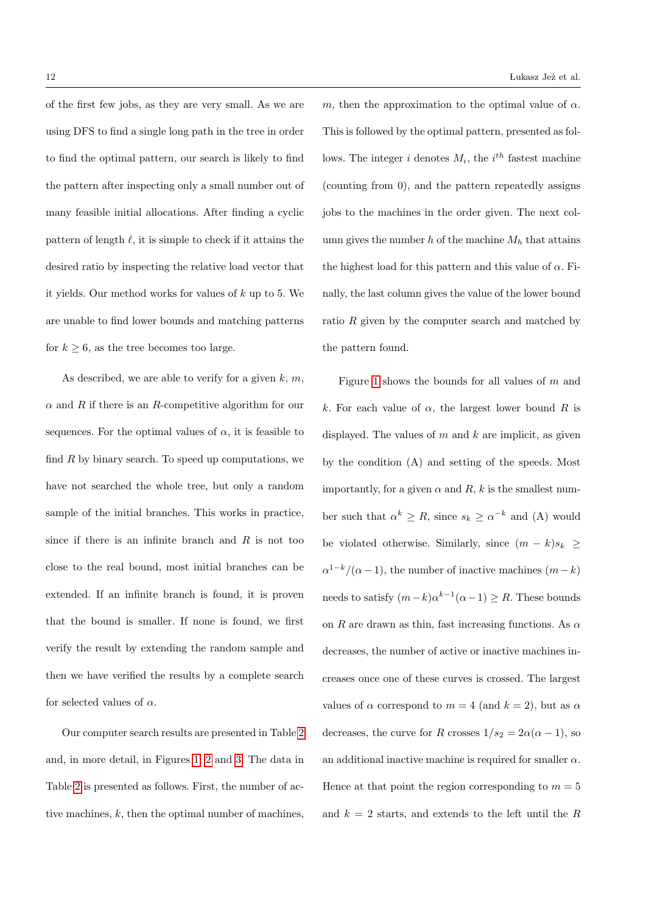of the first few jobs, as they are very small. As we are using DFS to find a single long path in the tree in order to find the optimal pattern, our search is likely to find the pattern after inspecting only a small number out of many feasible initial allocations. After finding a cyclic pattern of length  $\ell$ , it is simple to check if it attains the desired ratio by inspecting the relative load vector that it yields. Our method works for values of  $k$  up to 5. We are unable to find lower bounds and matching patterns for  $k \geq 6$ , as the tree becomes too large.

As described, we are able to verify for a given  $k, m$ ,  $\alpha$  and R if there is an R-competitive algorithm for our sequences. For the optimal values of  $\alpha$ , it is feasible to find  $R$  by binary search. To speed up computations, we have not searched the whole tree, but only a random sample of the initial branches. This works in practice, since if there is an infinite branch and  $R$  is not too close to the real bound, most initial branches can be extended. If an infinite branch is found, it is proven that the bound is smaller. If none is found, we first verify the result by extending the random sample and then we have verified the results by a complete search for selected values of  $\alpha$ .

Our computer search results are presented in Table [2](#page-12-0) and, in more detail, in Figures [1,](#page-12-1) [2](#page-13-0) and [3.](#page-14-2) The data in Table [2](#page-12-0) is presented as follows. First, the number of active machines,  $k$ , then the optimal number of machines,

m, then the approximation to the optimal value of  $\alpha$ . This is followed by the optimal pattern, presented as follows. The integer i denotes  $M_i$ , the i<sup>th</sup> fastest machine (counting from 0), and the pattern repeatedly assigns jobs to the machines in the order given. The next column gives the number h of the machine  $M_h$  that attains the highest load for this pattern and this value of  $\alpha$ . Finally, the last column gives the value of the lower bound ratio  $R$  given by the computer search and matched by the pattern found.

Figure [1](#page-12-1) shows the bounds for all values of m and k. For each value of  $\alpha$ , the largest lower bound R is displayed. The values of  $m$  and  $k$  are implicit, as given by the condition (A) and setting of the speeds. Most importantly, for a given  $\alpha$  and R, k is the smallest number such that  $\alpha^k \geq R$ , since  $s_k \geq \alpha^{-k}$  and (A) would be violated otherwise. Similarly, since  $(m - k)s_k \geq$  $\alpha^{1-k}/(\alpha-1)$ , the number of inactive machines  $(m-k)$ needs to satisfy  $(m-k)\alpha^{k-1}(\alpha-1) \geq R$ . These bounds on R are drawn as thin, fast increasing functions. As  $\alpha$ decreases, the number of active or inactive machines increases once one of these curves is crossed. The largest values of  $\alpha$  correspond to  $m = 4$  (and  $k = 2$ ), but as  $\alpha$ decreases, the curve for R crosses  $1/s_2 = 2\alpha(\alpha - 1)$ , so an additional inactive machine is required for smaller  $\alpha$ . Hence at that point the region corresponding to  $m = 5$ and  $k = 2$  starts, and extends to the left until the R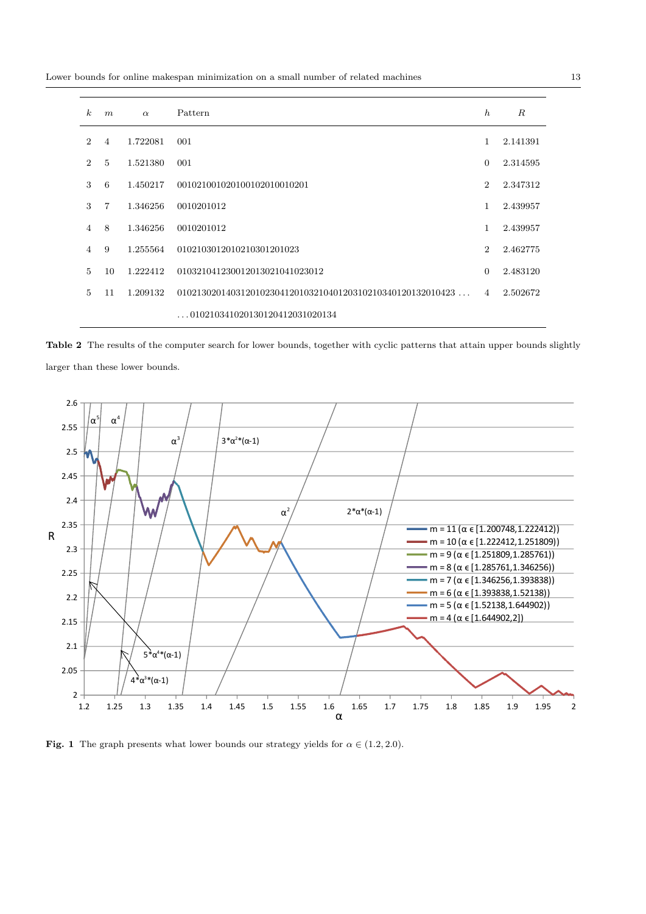| $\boldsymbol{k}$ | $\boldsymbol{m}$ | $\alpha$ | Pattern                                                     | $\boldsymbol{h}$            | $\boldsymbol{R}$ |
|------------------|------------------|----------|-------------------------------------------------------------|-----------------------------|------------------|
| $\mathfrak{D}$   | $\overline{4}$   | 1.722081 | 001                                                         | 1.                          | 2.141391         |
| $\mathfrak{D}$   | 5                | 1.521380 | 001                                                         | $\Omega$                    | 2.314595         |
| 3                | 6                | 1.450217 | 001021001020100102010010201                                 | $\mathcal{D}_{\mathcal{L}}$ | 2.347312         |
| 3                | $\overline{7}$   | 1.346256 | 0010201012                                                  | 1.                          | 2.439957         |
| 4                | 8                | 1.346256 | 0010201012                                                  | 1.                          | 2.439957         |
| 4                | 9                | 1.255564 | 0102103012010210301201023                                   | $\mathfrak{D}$              | 2.462775         |
| 5                | 10               | 1.222412 | 010321041230012013021041023012                              | $\Omega$                    | 2.483120         |
| 5                | 11               | 1.209132 | $010213020140312010230412010321040120310210340120132010423$ | $\overline{4}$              | 2.502672         |
|                  |                  |          | $\ldots$ 010210341020130120412031020134                     |                             |                  |

<span id="page-12-0"></span>Table 2 The results of the computer search for lower bounds, together with cyclic patterns that attain upper bounds slightly larger than these lower bounds.



<span id="page-12-1"></span>Fig. 1 The graph presents what lower bounds our strategy yields for  $\alpha \in (1.2, 2.0)$ .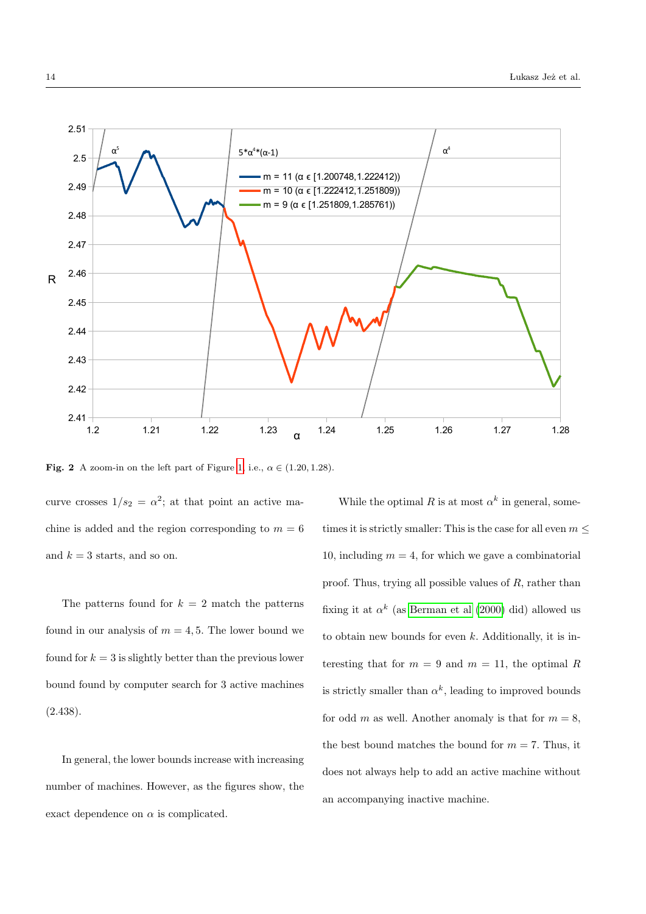

<span id="page-13-0"></span>Fig. 2 A zoom-in on the left part of Figure [1,](#page-12-1) i.e.,  $\alpha \in (1.20, 1.28)$ .

curve crosses  $1/s_2 = \alpha^2$ ; at that point an active machine is added and the region corresponding to  $m = 6$ and  $k = 3$  starts, and so on.

The patterns found for  $k = 2$  match the patterns found in our analysis of  $m = 4, 5$ . The lower bound we found for  $k = 3$  is slightly better than the previous lower bound found by computer search for 3 active machines (2.438).

In general, the lower bounds increase with increasing number of machines. However, as the figures show, the exact dependence on  $\alpha$  is complicated.

While the optimal R is at most  $\alpha^k$  in general, sometimes it is strictly smaller: This is the case for all even  $m \leq$ 10, including  $m = 4$ , for which we gave a combinatorial proof. Thus, trying all possible values of R, rather than fixing it at  $\alpha^k$  (as [Berman et al](#page-15-0) [\(2000\)](#page-15-0) did) allowed us to obtain new bounds for even  $k$ . Additionally, it is interesting that for  $m = 9$  and  $m = 11$ , the optimal R is strictly smaller than  $\alpha^k$ , leading to improved bounds for odd m as well. Another anomaly is that for  $m = 8$ , the best bound matches the bound for  $m = 7$ . Thus, it does not always help to add an active machine without an accompanying inactive machine.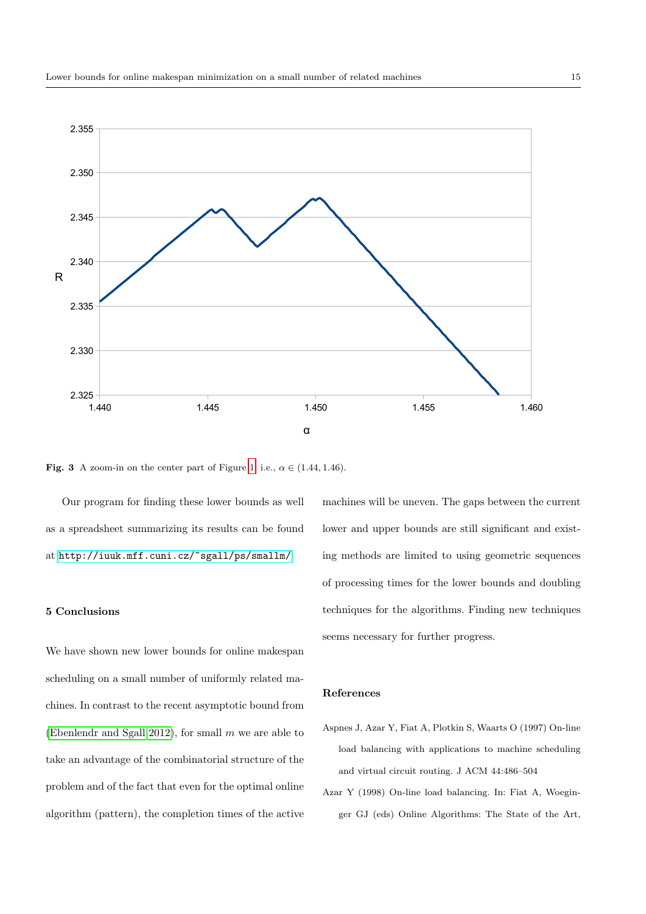

<span id="page-14-2"></span>Fig. 3 A zoom-in on the center part of Figure [1,](#page-12-1) i.e.,  $\alpha \in (1.44, 1.46)$ .

Our program for finding these lower bounds as well as a spreadsheet summarizing its results can be found at <http://iuuk.mff.cuni.cz/~sgall/ps/smallm/>.

## 5 Conclusions

We have shown new lower bounds for online makespan scheduling on a small number of uniformly related machines. In contrast to the recent asymptotic bound from [\(Ebenlendr and Sgall 2012\)](#page-15-2), for small  $m$  we are able to take an advantage of the combinatorial structure of the problem and of the fact that even for the optimal online algorithm (pattern), the completion times of the active

machines will be uneven. The gaps between the current lower and upper bounds are still significant and existing methods are limited to using geometric sequences of processing times for the lower bounds and doubling techniques for the algorithms. Finding new techniques seems necessary for further progress.

#### References

- <span id="page-14-0"></span>Aspnes J, Azar Y, Fiat A, Plotkin S, Waarts O (1997) On-line load balancing with applications to machine scheduling and virtual circuit routing. J ACM 44:486–504
- <span id="page-14-1"></span>Azar Y (1998) On-line load balancing. In: Fiat A, Woeginger GJ (eds) Online Algorithms: The State of the Art,